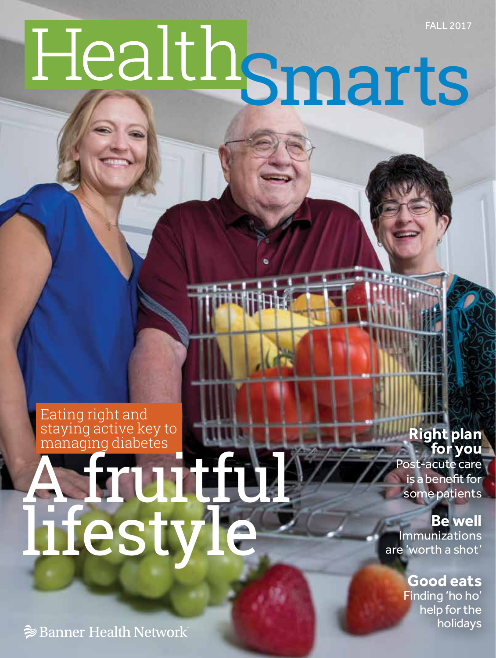# FALL 2017 Smarts

Eating right and staying active key to managing diabetes

# A fruitful lifestyle

**Right plan for you**

Post-acute care is a benefit for some patients

**Be well** Immunizations are 'worth a shot'

> **Good eats** Finding 'ho ho' help for the holidays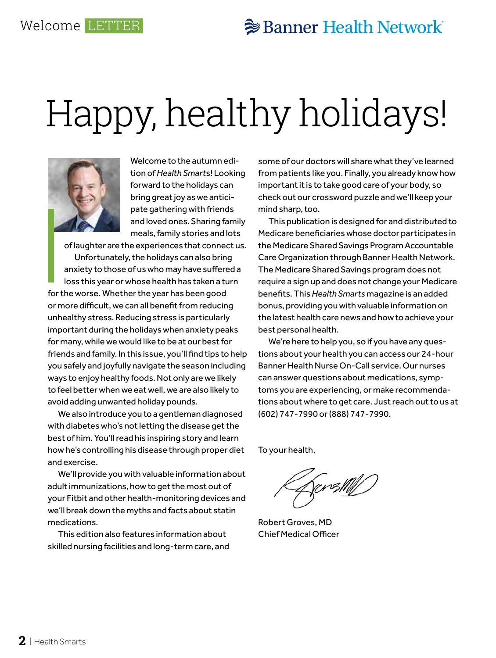## Happy, healthy holidays!



Welcome to the autumn edition of *Health Smart*s! Looking forward to the holidays can bring great joy as we anticipate gathering with friends and loved ones. Sharing family meals, family stories and lots

of laughter are the experiences that connect us. Unfortunately, the holidays can also bring anxiety to those of us who may have suffered a loss this year or whose health has taken a turn for the worse. Whether the year has been good or more difficult, we can all benefit from reducing unhealthy stress. Reducing stress is particularly important during the holidays when anxiety peaks for many, while we would like to be at our best for friends and family. In this issue, you'll find tips to help you safely and joyfully navigate the season including ways to enjoy healthy foods. Not only are we likely to feel better when we eat well, we are also likely to avoid adding unwanted holiday pounds.

We also introduce you to a gentleman diagnosed with diabetes who's not letting the disease get the best of him. You'll read his inspiring story and learn how he's controlling his disease through proper diet and exercise.

We'll provide you with valuable information about adult immunizations, how to get the most out of your Fitbit and other health-monitoring devices and we'll break down the myths and facts about statin medications.

This edition also features information about skilled nursing facilities and long-term care, and some of our doctors will share what they've learned from patients like you. Finally, you already know how important it is to take good care of your body, so check out our crossword puzzle and we'll keep your mind sharp, too.

This publication is designed for and distributed to Medicare beneficiaries whose doctor participates in the Medicare Shared Savings Program Accountable Care Organization through Banner Health Network. The Medicare Shared Savings program does not require a sign up and does not change your Medicare benefits. This *Health Smarts* magazine is an added bonus, providing you with valuable information on the latest health care news and how to achieve your best personal health.

We're here to help you, so if you have any questions about your health you can access our 24-hour Banner Health Nurse On-Call service. Our nurses can answer questions about medications, symptoms you are experiencing, or make recommendations about where to get care. Just reach out to us at (602) 747-7990 or (888) 747-7990.

To your health,

**(prestM** 

Robert Groves, MD Chief Medical Officer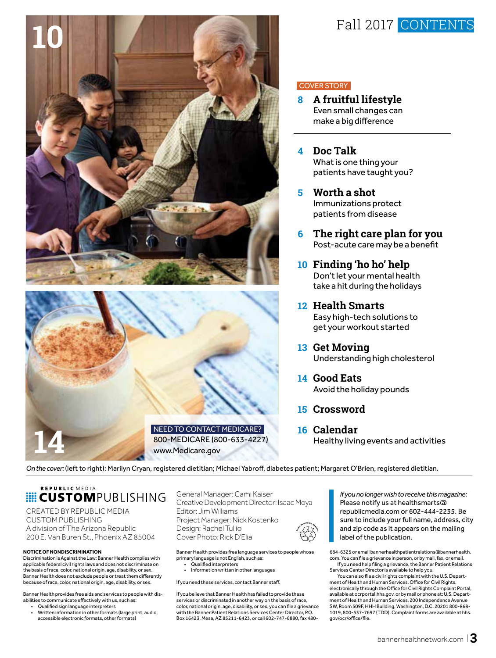





#### COVER STORY

- **8 A fruitful lifestyle** Even small changes can make a big difference
- **4 Doc Talk** What is one thing your patients have taught you?
- **5 Worth a shot** Immunizations protect patients from disease
- **6 The right care plan for you** Post-acute care may be a benefit
- **10 Finding 'ho ho' help** Don't let your mental health take a hit during the holidays
- **12 Health Smarts** Easy high-tech solutions to get your workout started
- **13 Get Moving** Understanding high cholesterol
- **14 Good Eats** Avoid the holiday pounds
- **15 Crossword**
- **16 Calendar** Healthy living events and activities

*On the cover:* (left to right): Marilyn Cryan, registered dietitian; Michael Yabroff, diabetes patient; Margaret O'Brien, registered dietitian.

## REPUBLIC MEDIA **E CUSTOMPUBLISHING**

CREATED BY REPUBLIC MEDIA CUSTOM PUBLISHING A division of The Arizona Republic 200 E. Van Buren St., Phoenix AZ 85004

#### **NOTICE OF NONDISCRIMINATION**

Discrimination is Against the Law: Banner Health complies with applicable federal civil rights laws and does not discriminate on the basis of race, color, national origin, age, disability, or sex. Banner Health does not exclude people or treat them differently because of race, color, national origin, age, disability, or sex.

Banner Health provides free aids and services to people with disabilities to communicate effectively with us, such as:

- Qualified sign language interpreters
- Written information in other formats (large print, audio, accessible electronic formats, other formats)

General Manager: Cami Kaiser Creative Development Director: Isaac Moya Editor: Jim Williams Project Manager: Nick Kostenko Design: Rachel Tullio Cover Photo: Rick D'Elia

Banner Health provides free language services to people whose primary language is not English, such as: • Qualified interpreters

• Information written in other languages

If you need these services, contact Banner staff.

If you believe that Banner Health has failed to provide these services or discriminated in another way on the basis of race, color, national origin, age, disability, or sex, you can file a grievance with the Banner Patient Relations Services Center Director, P.O. Box 16423, Mesa, AZ 85211-6423, or call 602-747-6880, fax 480-

*If you no longer wish to receive this magazine:*  Please notify us at healthsmarts@ republicmedia.com or 602-444-2235. Be sure to include your full name, address, city and zip code as it appears on the mailing label of the publication.

684-6325 or email bannerhealthpatientrelations@bannerhealth. com. You can file a grievance in person, or by mail, fax, or email. If you need help filing a grievance, the Banner Patient Relations

Services Center Director is available to help you. You can also file a civil rights complaint with the U.S. Depart-

ment of Health and Human Services, Office for Civil Rights, electronically through the Office for Civil Rights Complaint Portal, available at ocrportal.hhs.gov, or by mail or phone at: U.S. Department of Health and Human Services, 200 Independence Avenue SW, Room 509F, HHH Building, Washington, D.C. 20201 800-868- 1019, 800-537-7697 (TDD). Complaint forms are available at hhs. gov/ocr/office/file.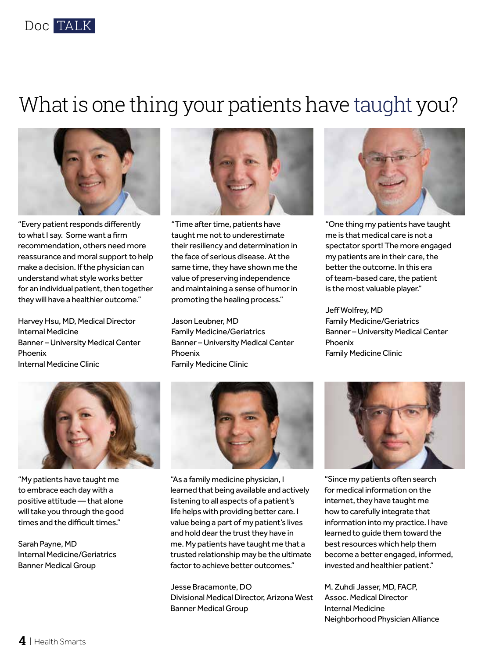

## What is one thing your patients have taught you?



"Every patient responds differently to what I say. Some want a firm recommendation, others need more reassurance and moral support to help make a decision. If the physician can understand what style works better for an individual patient, then together they will have a healthier outcome."

Harvey Hsu, MD, Medical Director Internal Medicine Banner – University Medical Center Phoenix Internal Medicine Clinic



"Time after time, patients have taught me not to underestimate their resiliency and determination in the face of serious disease. At the same time, they have shown me the value of preserving independence and maintaining a sense of humor in promoting the healing process."

Jason Leubner, MD Family Medicine/Geriatrics Banner – University Medical Center Phoenix Family Medicine Clinic



"One thing my patients have taught me is that medical care is not a spectator sport! The more engaged my patients are in their care, the better the outcome. In this era of team-based care, the patient is the most valuable player."

Jeff Wolfrey, MD Family Medicine/Geriatrics Banner – University Medical Center Phoenix Family Medicine Clinic



"My patients have taught me to embrace each day with a positive attitude — that alone will take you through the good times and the difficult times."

Sarah Payne, MD Internal Medicine/Geriatrics Banner Medical Group



"As a family medicine physician, I learned that being available and actively listening to all aspects of a patient's life helps with providing better care. I value being a part of my patient's lives and hold dear the trust they have in me. My patients have taught me that a trusted relationship may be the ultimate factor to achieve better outcomes."

Jesse Bracamonte, DO Divisional Medical Director, Arizona West Banner Medical Group



"Since my patients often search for medical information on the internet, they have taught me how to carefully integrate that information into my practice. I have learned to guide them toward the best resources which help them become a better engaged, informed, invested and healthier patient."

M. Zuhdi Jasser, MD, FACP, Assoc. Medical Director Internal Medicine Neighborhood Physician Alliance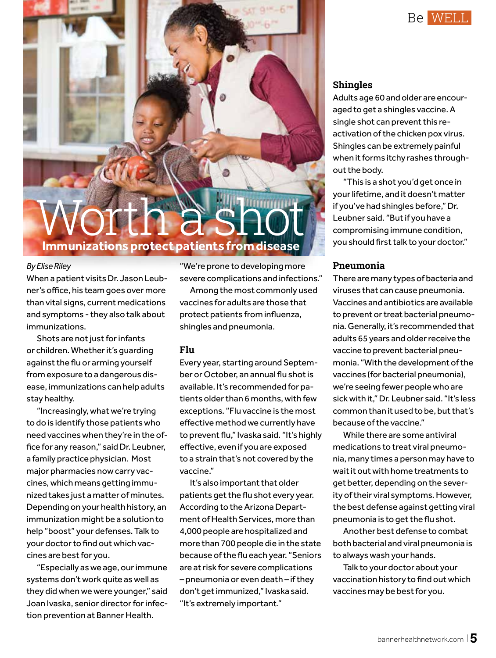

## Worth a shot **Immunizations protect patients from disease**

#### *By Elise Riley*

When a patient visits Dr. Jason Leubner's office, his team goes over more than vital signs, current medications and symptoms - they also talk about immunizations.

Shots are not just for infants or children. Whether it's guarding against the flu or arming yourself from exposure to a dangerous disease, immunizations can help adults stay healthy.

"Increasingly, what we're trying to do is identify those patients who need vaccines when they're in the office for any reason," said Dr. Leubner, a family practice physician. Most major pharmacies now carry vaccines, which means getting immunized takes just a matter of minutes. Depending on your health history, an immunization might be a solution to help "boost" your defenses. Talk to your doctor to find out which vaccines are best for you.

"Especially as we age, our immune systems don't work quite as well as they did when we were younger," said Joan Ivaska, senior director for infection prevention at Banner Health.

"We're prone to developing more severe complications and infections."

Among the most commonly used vaccines for adults are those that protect patients from influenza, shingles and pneumonia.

### **Flu**

Every year, starting around September or October, an annual flu shot is available. It's recommended for patients older than 6 months, with few exceptions. "Flu vaccine is the most effective method we currently have to prevent flu," Ivaska said. "It's highly effective, even if you are exposed to a strain that's not covered by the vaccine."

It's also important that older patients get the flu shot every year. According to the Arizona Department of Health Services, more than 4,000 people are hospitalized and more than 700 people die in the state because of the flu each year. "Seniors are at risk for severe complications – pneumonia or even death – if they don't get immunized," Ivaska said. "It's extremely important."

## **Shingles**

Adults age 60 and older are encouraged to get a shingles vaccine. A single shot can prevent this reactivation of the chicken pox virus. Shingles can be extremely painful when it forms itchy rashes throughout the body.

"This is a shot you'd get once in your lifetime, and it doesn't matter if you've had shingles before," Dr. Leubner said. "But if you have a compromising immune condition, you should first talk to your doctor."

#### **Pneumonia**

There are many types of bacteria and viruses that can cause pneumonia. Vaccines and antibiotics are available to prevent or treat bacterial pneumonia. Generally, it's recommended that adults 65 years and older receive the vaccine to prevent bacterial pneumonia. "With the development of the vaccines (for bacterial pneumonia), we're seeing fewer people who are sick with it," Dr. Leubner said. "It's less common than it used to be, but that's because of the vaccine."

While there are some antiviral medications to treat viral pneumonia, many times a person may have to wait it out with home treatments to get better, depending on the severity of their viral symptoms. However, the best defense against getting viral pneumonia is to get the flu shot.

Another best defense to combat both bacterial and viral pneumonia is to always wash your hands.

Talk to your doctor about your vaccination history to find out which vaccines may be best for you.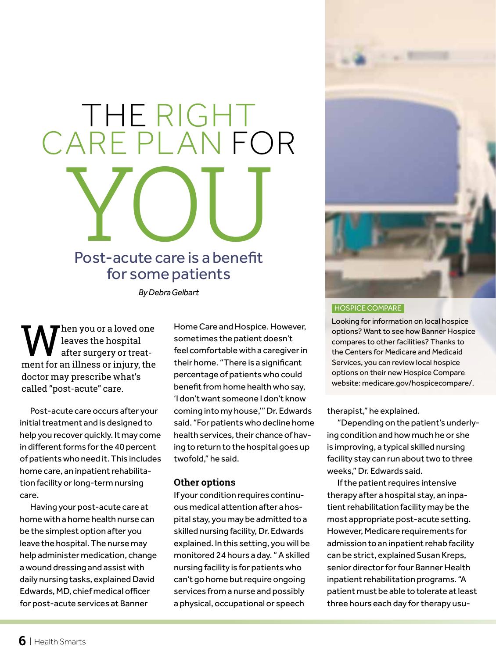## THE RIGHT CARE PLAN FOR Post-acute care is a benefit Post-acute care is a benefit for some patients

*By Debra Gelbart*

**W** leaves the hospital<br>ment for an illness or injury, the leaves the hospital after surgery or treatdoctor may prescribe what's called "post-acute" care.

Post-acute care occurs after your initial treatment and is designed to help you recover quickly. It may come in different forms for the 40 percent of patients who need it. This includes home care, an inpatient rehabilitation facility or long-term nursing care.

Having your post-acute care at home with a home health nurse can be the simplest option after you leave the hospital. The nurse may help administer medication, change a wound dressing and assist with daily nursing tasks, explained David Edwards, MD, chief medical officer for post-acute services at Banner

Home Care and Hospice. However, sometimes the patient doesn't feel comfortable with a caregiver in their home. "There is a significant percentage of patients who could benefit from home health who say, 'I don't want someone I don't know coming into my house,'" Dr. Edwards said. "For patients who decline home health services, their chance of having to return to the hospital goes up twofold," he said.

### **Other options**

If your condition requires continuous medical attention after a hospital stay, you may be admitted to a skilled nursing facility, Dr. Edwards explained. In this setting, you will be monitored 24 hours a day. " A skilled nursing facility is for patients who can't go home but require ongoing services from a nurse and possibly a physical, occupational or speech



#### HOSPICE COMPARE

Looking for information on local hospice options? Want to see how Banner Hospice compares to other facilities? Thanks to the Centers for Medicare and Medicaid Services, you can review local hospice options on their new Hospice Compare website: medicare.gov/hospicecompare/.

therapist," he explained.

"Depending on the patient's underlying condition and how much he or she is improving, a typical skilled nursing facility stay can run about two to three weeks," Dr. Edwards said.

If the patient requires intensive therapy after a hospital stay, an inpatient rehabilitation facility may be the most appropriate post-acute setting. However, Medicare requirements for admission to an inpatient rehab facility can be strict, explained Susan Kreps, senior director for four Banner Health inpatient rehabilitation programs. "A patient must be able to tolerate at least three hours each day for therapy usu-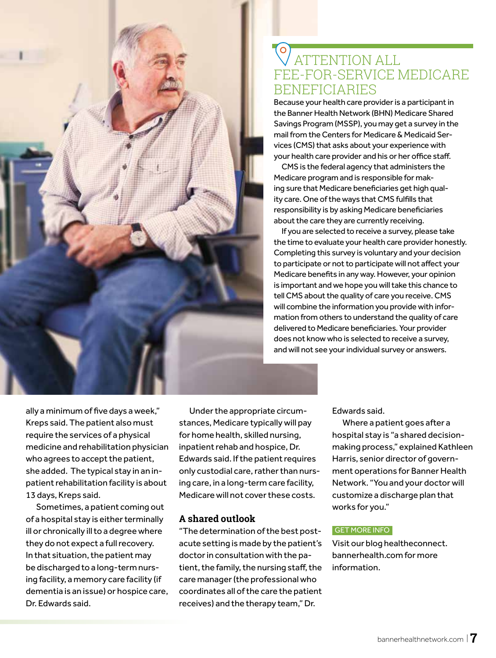

## O<br>
VATTENTION ALL FEE-FOR-SERVICE MEDICARE **BENEFICIARIES**

Because your health care provider is a participant in the Banner Health Network (BHN) Medicare Shared Savings Program (MSSP), you may get a survey in the mail from the Centers for Medicare & Medicaid Services (CMS) that asks about your experience with your health care provider and his or her office staff.

CMS is the federal agency that administers the Medicare program and is responsible for making sure that Medicare beneficiaries get high quality care. One of the ways that CMS fulfills that responsibility is by asking Medicare beneficiaries about the care they are currently receiving.

If you are selected to receive a survey, please take the time to evaluate your health care provider honestly. Completing this survey is voluntary and your decision to participate or not to participate will not affect your Medicare benefits in any way. However, your opinion is important and we hope you will take this chance to tell CMS about the quality of care you receive. CMS will combine the information you provide with information from others to understand the quality of care delivered to Medicare beneficiaries. Your provider does not know who is selected to receive a survey, and will not see your individual survey or answers.

ally a minimum of five days a week," Kreps said. The patient also must require the services of a physical medicine and rehabilitation physician who agrees to accept the patient, she added. The typical stay in an inpatient rehabilitation facility is about 13 days, Kreps said.

Sometimes, a patient coming out of a hospital stay is either terminally ill or chronically ill to a degree where they do not expect a full recovery. In that situation, the patient may be discharged to a long-term nursing facility, a memory care facility (if dementia is an issue) or hospice care, Dr. Edwards said.

Under the appropriate circumstances, Medicare typically will pay for home health, skilled nursing, inpatient rehab and hospice, Dr. Edwards said. If the patient requires only custodial care, rather than nursing care, in a long-term care facility, Medicare will not cover these costs.

## **A shared outlook**

"The determination of the best postacute setting is made by the patient's doctor in consultation with the patient, the family, the nursing staff, the care manager (the professional who coordinates all of the care the patient receives) and the therapy team," Dr.

Edwards said.

Where a patient goes after a hospital stay is "a shared decisionmaking process," explained Kathleen Harris, senior director of government operations for Banner Health Network. "You and your doctor will customize a discharge plan that works for you."

#### GET MORE INFO

Visit our blog healtheconnect. bannerhealth.com for more information.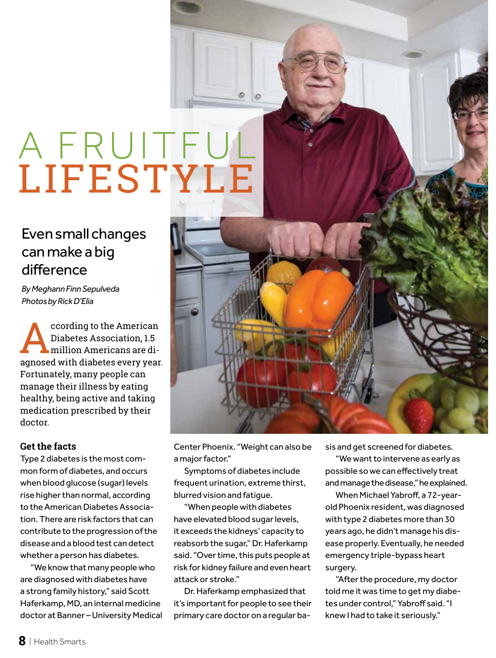## A FRUITFUL LIFESTYLE

## Even small changes can make a big difference

*By Meghann Finn Sepulveda Photos by Rick D'Elia*

ccording to the American<br>Diabetes Association, 1.5<br>arrored with diabetes every year Diabetes Association, 1.5 million Americans are diagnosed with diabetes every year. Fortunately, many people can manage their illness by eating healthy, being active and taking medication prescribed by their doctor.

## **Get the facts**

Type 2 diabetes is the most common form of diabetes, and occurs when blood glucose (sugar) levels rise higher than normal, according to the American Diabetes Association. There are risk factors that can contribute to the progression of the disease and a blood test can detect whether a person has diabetes.

"We know that many people who are diagnosed with diabetes have a strong family history," said Scott Haferkamp, MD, an internal medicine doctor at Banner – University Medical



a major factor."

Symptoms of diabetes include frequent urination, extreme thirst, blurred vision and fatigue.

"When people with diabetes have elevated blood sugar levels, it exceeds the kidneys' capacity to reabsorb the sugar," Dr. Haferkamp said. "Over time, this puts people at risk for kidney failure and even heart attack or stroke."

Dr. Haferkamp emphasized that it's important for people to see their primary care doctor on a regular basis and get screened for diabetes.

"We want to intervene as early as possible so we can effectively treat and manage the disease," he explained.

When Michael Yabroff, a 72-yearold Phoenix resident, was diagnosed with type 2 diabetes more than 30 years ago, he didn't manage his disease properly. Eventually, he needed emergency triple-bypass heart surgery.

"After the procedure, my doctor told me it was time to get my diabetes under control," Yabroff said. "I knew I had to take it seriously."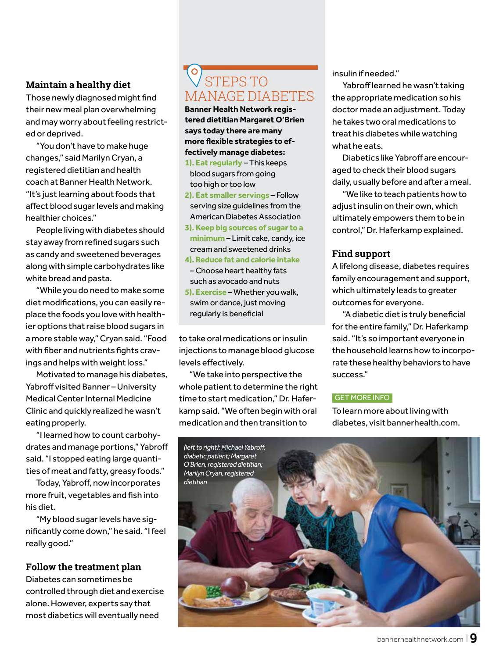## **Maintain a healthy diet**

Those newly diagnosed might find their new meal plan overwhelming and may worry about feeling restricted or deprived.

"You don't have to make huge changes," said Marilyn Cryan, a registered dietitian and health coach at Banner Health Network. "It's just learning about foods that affect blood sugar levels and making healthier choices."

People living with diabetes should stay away from refined sugars such as candy and sweetened beverages along with simple carbohydrates like white bread and pasta.

"While you do need to make some diet modifications, you can easily replace the foods you love with healthier options that raise blood sugars in a more stable way," Cryan said. "Food with fiber and nutrients fights cravings and helps with weight loss."

Motivated to manage his diabetes, Yabroff visited Banner – University Medical Center Internal Medicine Clinic and quickly realized he wasn't eating properly.

"I learned how to count carbohydrates and manage portions," Yabroff said. "I stopped eating large quantities of meat and fatty, greasy foods."

Today, Yabroff, now incorporates more fruit, vegetables and fish into his diet.

"My blood sugar levels have significantly come down," he said. "I feel really good."

## **Follow the treatment plan**

Diabetes can sometimes be controlled through diet and exercise alone. However, experts say that most diabetics will eventually need

## O STEPS TO MANAGE DIABETES

**Banner Health Network registered dietitian Margaret O'Brien says today there are many more flexible strategies to effectively manage diabetes:**

- **1). Eat regularly** This keeps blood sugars from going too high or too low
- **2). Eat smaller servings** Follow serving size guidelines from the American Diabetes Association
- **3). Keep big sources of sugar to a minimum** – Limit cake, candy, ice cream and sweetened drinks
- **4). Reduce fat and calorie intake** – Choose heart healthy fats such as avocado and nuts
- **5). Exercise** Whether you walk, swim or dance, just moving regularly is beneficial

to take oral medications or insulin injections to manage blood glucose levels effectively.

"We take into perspective the whole patient to determine the right time to start medication," Dr. Haferkamp said. "We often begin with oral medication and then transition to

insulin if needed."

Yabroff learned he wasn't taking the appropriate medication so his doctor made an adjustment. Today he takes two oral medications to treat his diabetes while watching what he eats.

Diabetics like Yabroff are encouraged to check their blood sugars daily, usually before and after a meal.

"We like to teach patients how to adjust insulin on their own, which ultimately empowers them to be in control," Dr. Haferkamp explained.

## **Find support**

A lifelong disease, diabetes requires family encouragement and support, which ultimately leads to greater outcomes for everyone.

"A diabetic diet is truly beneficial for the entire family," Dr. Haferkamp said. "It's so important everyone in the household learns how to incorporate these healthy behaviors to have success."

#### GET MORE INFO

To learn more about living with diabetes, visit bannerhealth.com.

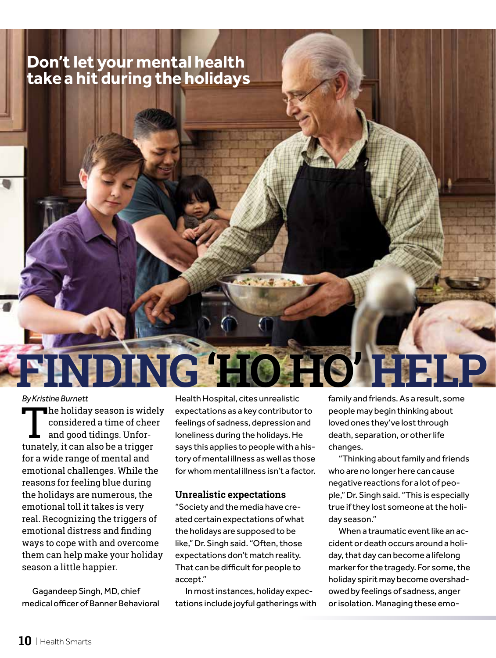## **Don't let your mental health take a hit during the holidays**

## *By Kristine Burnett*

 $\blacksquare$  he holiday season is widely considered a time of cheer and good tidings. Unfortunately, it can also be a trigger for a wide range of mental and emotional challenges. While the reasons for feeling blue during the holidays are numerous, the emotional toll it takes is very real. Recognizing the triggers of emotional distress and finding ways to cope with and overcome them can help make your holiday season a little happier.

Gagandeep Singh, MD, chief medical officer of Banner Behavioral Health Hospital, cites unrealistic expectations as a key contributor to feelings of sadness, depression and loneliness during the holidays. He says this applies to people with a history of mental illness as well as those for whom mental illness isn't a factor.

**FINDING'HO HO' HELP**

### **Unrealistic expectations**

"Society and the media have created certain expectations of what the holidays are supposed to be like," Dr. Singh said. "Often, those expectations don't match reality. That can be difficult for people to accept."

In most instances, holiday expectations include joyful gatherings with family and friends. As a result, some people may begin thinking about loved ones they've lost through death, separation, or other life changes.

"Thinking about family and friends who are no longer here can cause negative reactions for a lot of people," Dr. Singh said. "This is especially true if they lost someone at the holiday season."

When a traumatic event like an accident or death occurs around a holiday, that day can become a lifelong marker for the tragedy. For some, the holiday spirit may become overshadowed by feelings of sadness, anger or isolation. Managing these emo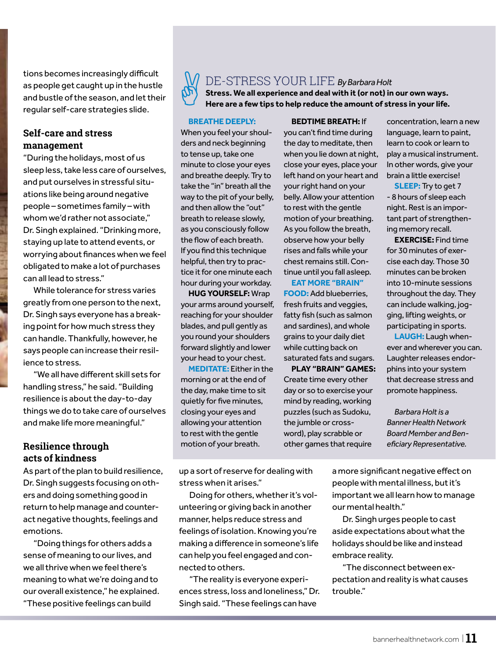tions becomes increasingly difficult as people get caught up in the hustle and bustle of the season, and let their regular self-care strategies slide.

## **Self-care and stress management**

"During the holidays, most of us sleep less, take less care of ourselves, and put ourselves in stressful situations like being around negative people – sometimes family – with whom we'd rather not associate," Dr. Singh explained. "Drinking more, staying up late to attend events, or worrying about finances when we feel obligated to make a lot of purchases can all lead to stress."

While tolerance for stress varies greatly from one person to the next, Dr. Singh says everyone has a breaking point for how much stress they can handle. Thankfully, however, he says people can increase their resilience to stress.

"We all have different skill sets for handling stress," he said. "Building resilience is about the day-to-day things we do to take care of ourselves and make life more meaningful."

## **Resilience through acts of kindness**

As part of the plan to build resilience, Dr. Singh suggests focusing on others and doing something good in return to help manage and counteract negative thoughts, feelings and emotions.

"Doing things for others adds a sense of meaning to our lives, and we all thrive when we feel there's meaning to what we're doing and to our overall existence," he explained. "These positive feelings can build



## DE-STRESS YOUR LIFE *By Barbara Holt*

**Stress. We all experience and deal with it (or not) in our own ways. Here are a few tips to help reduce the amount of stress in your life.**

#### **BREATHE DEEPLY:**

When you feel your shoulders and neck beginning to tense up, take one minute to close your eyes and breathe deeply. Try to take the "in" breath all the way to the pit of your belly, and then allow the "out" breath to release slowly, as you consciously follow the flow of each breath. If you find this technique helpful, then try to practice it for one minute each hour during your workday.

**HUG YOURSELF:** Wrap your arms around yourself, reaching for your shoulder blades, and pull gently as you round your shoulders forward slightly and lower your head to your chest.

**MEDITATE:** Either in the morning or at the end of the day, make time to sit quietly for five minutes, closing your eyes and allowing your attention to rest with the gentle motion of your breath.

**BEDTIME BREATH:** If you can't find time during the day to meditate, then when you lie down at night, close your eyes, place your left hand on your heart and your right hand on your belly. Allow your attention to rest with the gentle motion of your breathing. As you follow the breath, observe how your belly rises and falls while your chest remains still. Continue until you fall asleep.

**EAT MORE "BRAIN" FOOD:** Add blueberries, fresh fruits and veggies, fatty fish (such as salmon and sardines), and whole grains to your daily diet while cutting back on saturated fats and sugars.

**PLAY "BRAIN" GAMES:**  Create time every other day or so to exercise your mind by reading, working puzzles (such as Sudoku, the jumble or crossword), play scrabble or other games that require

concentration, learn a new language, learn to paint, learn to cook or learn to play a musical instrument. In other words, give your brain a little exercise!

**SLEEP:** Try to get 7 - 8 hours of sleep each night. Rest is an important part of strengthening memory recall.

**EXERCISE:** Find time for 30 minutes of exercise each day. Those 30 minutes can be broken into 10-minute sessions throughout the day. They can include walking, jogging, lifting weights, or participating in sports.

**LAUGH:** Laugh whenever and wherever you can. Laughter releases endorphins into your system that decrease stress and promote happiness.

*Barbara Holt is a Banner Health Network Board Member and Beneficiary Representative.*

up a sort of reserve for dealing with stress when it arises."

Doing for others, whether it's volunteering or giving back in another manner, helps reduce stress and feelings of isolation. Knowing you're making a difference in someone's life can help you feel engaged and connected to others.

"The reality is everyone experiences stress, loss and loneliness," Dr. Singh said. "These feelings can have

a more significant negative effect on people with mental illness, but it's important we all learn how to manage our mental health."

Dr. Singh urges people to cast aside expectations about what the holidays should be like and instead embrace reality.

"The disconnect between expectation and reality is what causes trouble."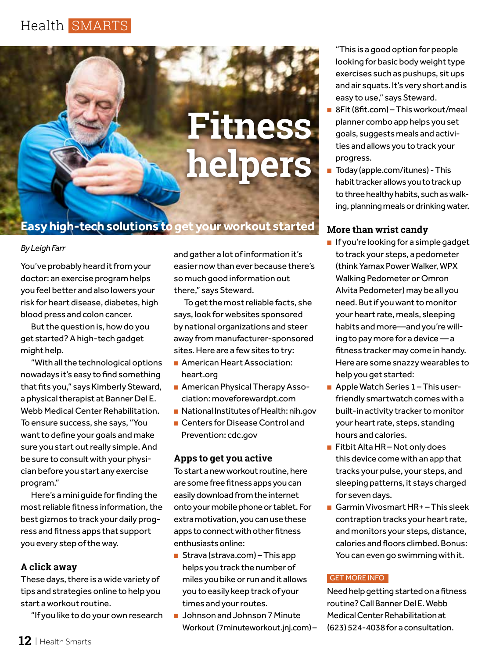

## **Easy high-tech solutions to get your workout started**

### *By Leigh Farr*

You've probably heard it from your doctor: an exercise program helps you feel better and also lowers your risk for heart disease, diabetes, high blood press and colon cancer.

But the question is, how do you get started? A high-tech gadget might help.

"With all the technological options nowadays it's easy to find something that fits you," says Kimberly Steward, a physical therapist at Banner Del E. Webb Medical Center Rehabilitation. To ensure success, she says, "You want to define your goals and make sure you start out really simple. And be sure to consult with your physician before you start any exercise program."

Here's a mini guide for finding the most reliable fitness information, the best gizmos to track your daily progress and fitness apps that support you every step of the way.

## **A click away**

These days, there is a wide variety of tips and strategies online to help you start a workout routine.

"If you like to do your own research

and gather a lot of information it's easier now than ever because there's so much good information out there," says Steward.

To get the most reliable facts, she says, look for websites sponsored by national organizations and steer away from manufacturer-sponsored sites. Here are a few sites to try:

- American Heart Association: heart.org
- American Physical Therapy Association: moveforewardpt.com
- National Institutes of Health: nih.gov
- Centers for Disease Control and
- Prevention: cdc.gov

## **Apps to get you active**

To start a new workout routine, here are some free fitness apps you can easily download from the internet onto your mobile phone or tablet. For extra motivation, you can use these apps to connect with other fitness enthusiasts online:

- Strava (strava.com) This app helps you track the number of miles you bike or run and it allows you to easily keep track of your times and your routes.
- Johnson and Johnson 7 Minute Workout (7minuteworkout.jnj.com) –

"This is a good option for people looking for basic body weight type exercises such as pushups, sit ups and air squats. It's very short and is easy to use," says Steward.

- 8Fit (8fit.com) This workout/meal planner combo app helps you set goals, suggests meals and activities and allows you to track your progress.
- Today (apple.com/itunes) This habit tracker allows you to track up to three healthy habits, such as walking, planning meals or drinking water.

## **More than wrist candy**

- If you're looking for a simple gadget to track your steps, a pedometer (think Yamax Power Walker, WPX Walking Pedometer or Omron Alvita Pedometer) may be all you need. But if you want to monitor your heart rate, meals, sleeping habits and more—and you're willing to pay more for a device — a fitness tracker may come in handy. Here are some snazzy wearables to help you get started:
- Apple Watch Series 1 This userfriendly smartwatch comes with a built-in activity tracker to monitor your heart rate, steps, standing hours and calories.
- Fitbit Alta HR Not only does this device come with an app that tracks your pulse, your steps, and sleeping patterns, it stays charged for seven days.
- Garmin Vivosmart HR+ This sleek contraption tracks your heart rate, and monitors your steps, distance, calories and floors climbed. Bonus: You can even go swimming with it.

## GET MORE INFO

Need help getting started on a fitness routine? Call Banner Del E. Webb Medical Center Rehabilitation at (623) 524-4038 for a consultation.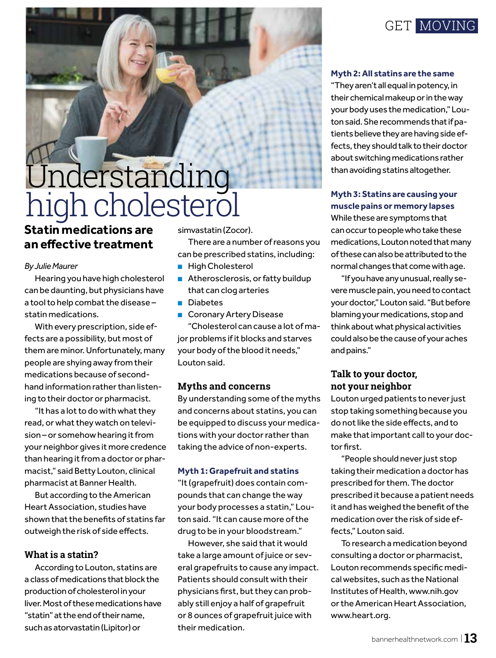

## Understanding high cholesterol

**Statin medications are an effective treatment**

#### *By Julie Maurer*

Hearing you have high cholesterol can be daunting, but physicians have a tool to help combat the disease – statin medications.

With every prescription, side effects are a possibility, but most of them are minor. Unfortunately, many people are shying away from their medications because of secondhand information rather than listening to their doctor or pharmacist.

"It has a lot to do with what they read, or what they watch on television – or somehow hearing it from your neighbor gives it more credence than hearing it from a doctor or pharmacist," said Betty Louton, clinical pharmacist at Banner Health.

But according to the American Heart Association, studies have shown that the benefits of statins far outweigh the risk of side effects.

## **What is a statin?**

According to Louton, statins are a class of medications that block the production of cholesterol in your liver. Most of these medications have "statin" at the end of their name, such as atorvastatin (Lipitor) or

simvastatin (Zocor).

There are a number of reasons you can be prescribed statins, including:

- High Cholesterol
- Atherosclerosis, or fatty buildup that can clog arteries
- Diabetes

■ Coronary Artery Disease "Cholesterol can cause a lot of major problems if it blocks and starves your body of the blood it needs," Louton said.

### **Myths and concerns**

By understanding some of the myths and concerns about statins, you can be equipped to discuss your medications with your doctor rather than taking the advice of non-experts.

### **Myth 1: Grapefruit and statins**

"It (grapefruit) does contain compounds that can change the way your body processes a statin," Louton said. "It can cause more of the drug to be in your bloodstream."

However, she said that it would take a large amount of juice or several grapefruits to cause any impact. Patients should consult with their physicians first, but they can probably still enjoy a half of grapefruit or 8 ounces of grapefruit juice with their medication.

#### **Myth 2: All statins are the same**

"They aren't all equal in potency, in their chemical makeup or in the way your body uses the medication," Louton said. She recommends that if patients believe they are having side effects, they should talk to their doctor about switching medications rather than avoiding statins altogether.

## **Myth 3: Statins are causing your muscle pains or memory lapses**

While these are symptoms that can occur to people who take these medications, Louton noted that many of these can also be attributed to the normal changes that come with age.

"If you have any unusual, really severe muscle pain, you need to contact your doctor," Louton said. "But before blaming your medications, stop and think about what physical activities could also be the cause of your aches and pains."

## **Talk to your doctor, not your neighbor**

Louton urged patients to never just stop taking something because you do not like the side effects, and to make that important call to your doctor first.

"People should never just stop taking their medication a doctor has prescribed for them. The doctor prescribed it because a patient needs it and has weighed the benefit of the medication over the risk of side effects," Louton said.

To research a medication beyond consulting a doctor or pharmacist, Louton recommends specific medical websites, such as the National Institutes of Health, www.nih.gov or the American Heart Association, www.heart.org.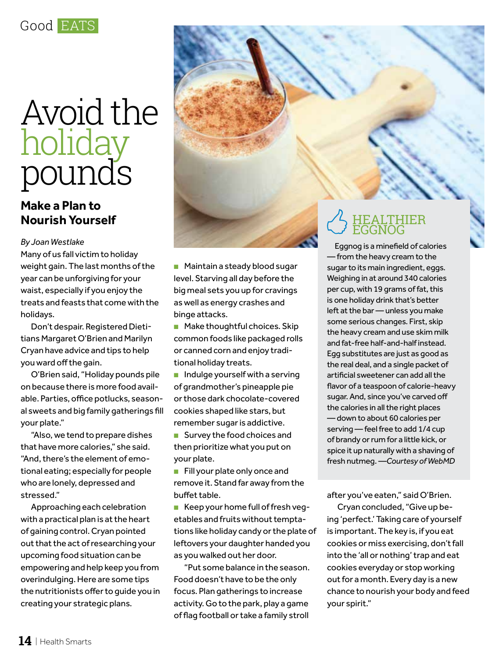

## Avoid the holiday pounds

## **Make a Plan to Nourish Yourself**

#### *By Joan Westlake*

Many of us fall victim to holiday weight gain. The last months of the year can be unforgiving for your waist, especially if you enjoy the treats and feasts that come with the holidays.

Don't despair. Registered Dietitians Margaret O'Brien and Marilyn Cryan have advice and tips to help you ward off the gain.

O'Brien said, "Holiday pounds pile on because there is more food available. Parties, office potlucks, seasonal sweets and big family gatherings fill your plate."

"Also, we tend to prepare dishes that have more calories," she said. "And, there's the element of emotional eating; especially for people who are lonely, depressed and stressed."

Approaching each celebration with a practical plan is at the heart of gaining control. Cryan pointed out that the act of researching your upcoming food situation can be empowering and help keep you from overindulging. Here are some tips the nutritionists offer to guide you in creating your strategic plans.



■ Make thoughtful choices. Skip common foods like packaged rolls or canned corn and enjoy traditional holiday treats.

■ Indulge yourself with a serving of grandmother's pineapple pie or those dark chocolate-covered cookies shaped like stars, but remember sugar is addictive.

■ Survey the food choices and then prioritize what you put on your plate.

■ Fill your plate only once and remove it. Stand far away from the buffet table.

■ Keep your home full of fresh vegetables and fruits without temptations like holiday candy or the plate of leftovers your daughter handed you as you walked out her door.

"Put some balance in the season. Food doesn't have to be the only focus. Plan gatherings to increase activity. Go to the park, play a game of flag football or take a family stroll

## HEALTHIER EGGNOG

Eggnog is a minefield of calories — from the heavy cream to the sugar to its main ingredient, eggs. Weighing in at around 340 calories per cup, with 19 grams of fat, this is one holiday drink that's better left at the bar — unless you make some serious changes. First, skip the heavy cream and use skim milk and fat-free half-and-half instead. Egg substitutes are just as good as the real deal, and a single packet of artificial sweetener can add all the flavor of a teaspoon of calorie-heavy sugar. And, since you've carved off the calories in all the right places — down to about 60 calories per serving — feel free to add 1/4 cup of brandy or rum for a little kick, or spice it up naturally with a shaving of fresh nutmeg. *—Courtesy of WebMD*

after you've eaten," said O'Brien.

Cryan concluded, "Give up being 'perfect.' Taking care of yourself is important. The key is, if you eat cookies or miss exercising, don't fall into the 'all or nothing' trap and eat cookies everyday or stop working out for a month. Every day is a new chance to nourish your body and feed your spirit."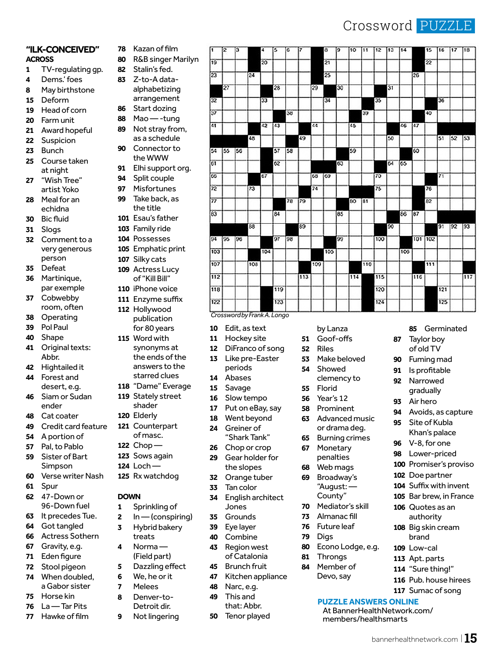## Crossword PUZZLE

bannerhealthnetwork.com <sup>|</sup> **15**

Germinated

 Avoids, as capture Site of Kubla Khan's palace V-8, for one Lower-priced Promiser's proviso Doe partner Suffix with invent Bar brew, in France Quotes as an authority Big skin cream brand Low-cal Apt. parts "Sure thing!" Pub. house hirees Sumac of song

 Taylor boy of old TV Fuming mad Is profitable Narrowed gradually Air hero

#### **"ILK-CONCEIVED" ACROSS**

- TV-regulating gp.
- Dems.' foes
- May birthstone
- Deform
- Head of corn
- Farm unit
- Award hopeful
- Suspicion
- Bunch Course taken at night
- "Wish Tree" artist Yoko
- Meal for an echidna
- Bic fluid
- Slogs
- Comment to a very generous person
- Defeat
- Martinique, par exemple
- Cobwebby room, often
- Operating
- Pol Paul
- Shape
- Original texts: Abbr.
- Hightailed it Forest and
- desert, e.g. Siam or Sudan ender
- 
- Cat coater Credit card feature
- A portion of
- Pal, to Pablo Sister of Bart
	- Simpson
- Verse writer Nash
- Spur
- 47-Down or 96-Down fuel
- It precedes Tue.
- Got tangled
- Actress Sothern
- Gravity, e.g.
- Eden figure
- Stool pigeon
- When doubled, a Gabor sister
- Horse kin
- La Tar Pits
- Hawke of film
- Kazan of film
- R&B singer Marilyn
- Stalin's fed. Z-to-A data
	- alphabetizing arrangement
- 86 Start dozing<br>88 Mao - tung
- Mao -tung Not stray from,
- as a schedule Connector to
- the WWW Elhi support org.
- Split couple
- 
- Misfortunes Take back, as the title
- Esau's father
- Family ride
- Possesses
- Emphatic print
- Silky cats
- Actress Lucy
	- of "Kill Bill"
- iPhone voice
- Enzyme suffix Hollywood
- publication for 80 years
- Word with synonyms at the ends of the answers to the
- starred clues "Dame" Everage
- Stately street
	- shader
- Elderly
- Counterpart of masc.
- Chop —
- Sows again
- Loch Rx watchdog

### **DOWN**

- Sprinkling of
- In (conspiring)
- Hybrid bakery
- treats Norma —
- (Field part)
- Dazzling effect
- We, he or it Melees
- Denver-to-
- Detroit dir.
- Not lingering



by Lanza Goof-offs

**53** Make beloved<br>54 Showed Showed clemency to

Riles

 Florid Year's 12 Prominent Advanced music or drama deg. Burning crimes Monetary penalties Web mags Broadway's "August: — County" Mediator's skill Almanac fill Future leaf

Digs

 Throngs Member of Devo, say

Econo Lodge, e.g.

**PUZZLE ANSWERS ONLINE** At BannerHealthNetwork.com/ members/healthsmarts

*Crossword by Frank A. Longo*

- Edit, as text
- Hockey site
- DiFranco of song
- Like pre-Easter periods
- Abases
- Savage
- Slow tempo
- Put on eBay, say
- 18 Went beyond<br>24 Greiner of
- Greiner of
- "Shark Tank"
- Chop or crop Gear holder for
- the slopes Orange tuber

English architect

Tan color

Jones Grounds Eye layer Combine Region west of Catalonia Brunch fruit Kitchen appliance

 Narc, e.g. This and that: Abbr. Tenor played